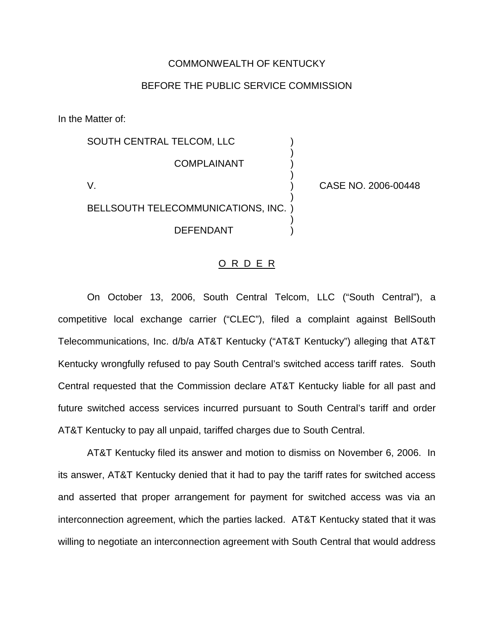### COMMONWEALTH OF KENTUCKY

## BEFORE THE PUBLIC SERVICE COMMISSION

In the Matter of:

SOUTH CENTRAL TELCOM, LLC ) ) **COMPLAINANT** ) V. ) CASE NO. 2006-00448 ) BELLSOUTH TELECOMMUNICATIONS, INC. ) ) **DEFENDANT** 

#### O R D E R

On October 13, 2006, South Central Telcom, LLC ("South Central"), a competitive local exchange carrier ("CLEC"), filed a complaint against BellSouth Telecommunications, Inc. d/b/a AT&T Kentucky ("AT&T Kentucky") alleging that AT&T Kentucky wrongfully refused to pay South Central's switched access tariff rates. South Central requested that the Commission declare AT&T Kentucky liable for all past and future switched access services incurred pursuant to South Central's tariff and order AT&T Kentucky to pay all unpaid, tariffed charges due to South Central.

AT&T Kentucky filed its answer and motion to dismiss on November 6, 2006. In its answer, AT&T Kentucky denied that it had to pay the tariff rates for switched access and asserted that proper arrangement for payment for switched access was via an interconnection agreement, which the parties lacked. AT&T Kentucky stated that it was willing to negotiate an interconnection agreement with South Central that would address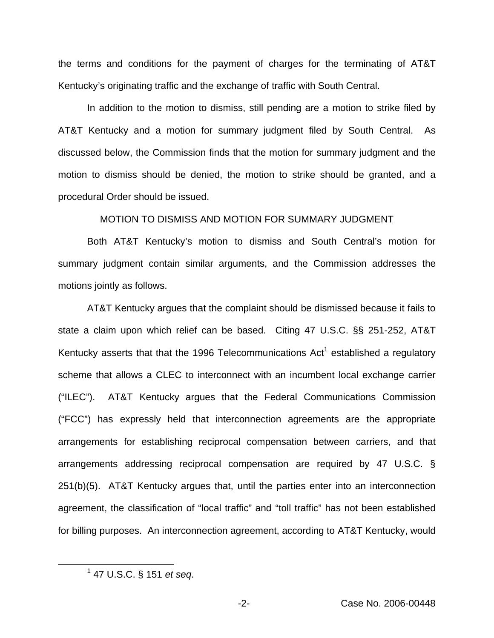the terms and conditions for the payment of charges for the terminating of AT&T Kentucky's originating traffic and the exchange of traffic with South Central.

In addition to the motion to dismiss, still pending are a motion to strike filed by AT&T Kentucky and a motion for summary judgment filed by South Central. As discussed below, the Commission finds that the motion for summary judgment and the motion to dismiss should be denied, the motion to strike should be granted, and a procedural Order should be issued.

#### MOTION TO DISMISS AND MOTION FOR SUMMARY JUDGMENT

Both AT&T Kentucky's motion to dismiss and South Central's motion for summary judgment contain similar arguments, and the Commission addresses the motions jointly as follows.

AT&T Kentucky argues that the complaint should be dismissed because it fails to state a claim upon which relief can be based. Citing 47 U.S.C. §§ 251-252, AT&T Kentucky asserts that that the 1996 Telecommunications  $Act<sup>1</sup>$  established a regulatory scheme that allows a CLEC to interconnect with an incumbent local exchange carrier ("ILEC"). AT&T Kentucky argues that the Federal Communications Commission ("FCC") has expressly held that interconnection agreements are the appropriate arrangements for establishing reciprocal compensation between carriers, and that arrangements addressing reciprocal compensation are required by 47 U.S.C. § 251(b)(5). AT&T Kentucky argues that, until the parties enter into an interconnection agreement, the classification of "local traffic" and "toll traffic" has not been established for billing purposes. An interconnection agreement, according to AT&T Kentucky, would

<sup>1</sup> 47 U.S.C. § 151 *et seq*.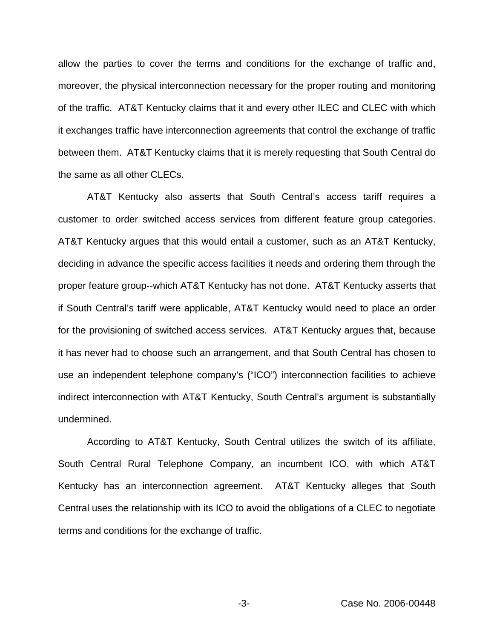allow the parties to cover the terms and conditions for the exchange of traffic and, moreover, the physical interconnection necessary for the proper routing and monitoring of the traffic. AT&T Kentucky claims that it and every other ILEC and CLEC with which it exchanges traffic have interconnection agreements that control the exchange of traffic between them. AT&T Kentucky claims that it is merely requesting that South Central do the same as all other CLECs.

AT&T Kentucky also asserts that South Central's access tariff requires a customer to order switched access services from different feature group categories. AT&T Kentucky argues that this would entail a customer, such as an AT&T Kentucky, deciding in advance the specific access facilities it needs and ordering them through the proper feature group--which AT&T Kentucky has not done. AT&T Kentucky asserts that if South Central's tariff were applicable, AT&T Kentucky would need to place an order for the provisioning of switched access services. AT&T Kentucky argues that, because it has never had to choose such an arrangement, and that South Central has chosen to use an independent telephone company's ("ICO") interconnection facilities to achieve indirect interconnection with AT&T Kentucky, South Central's argument is substantially undermined.

According to AT&T Kentucky, South Central utilizes the switch of its affiliate, South Central Rural Telephone Company, an incumbent ICO, with which AT&T Kentucky has an interconnection agreement. AT&T Kentucky alleges that South Central uses the relationship with its ICO to avoid the obligations of a CLEC to negotiate terms and conditions for the exchange of traffic.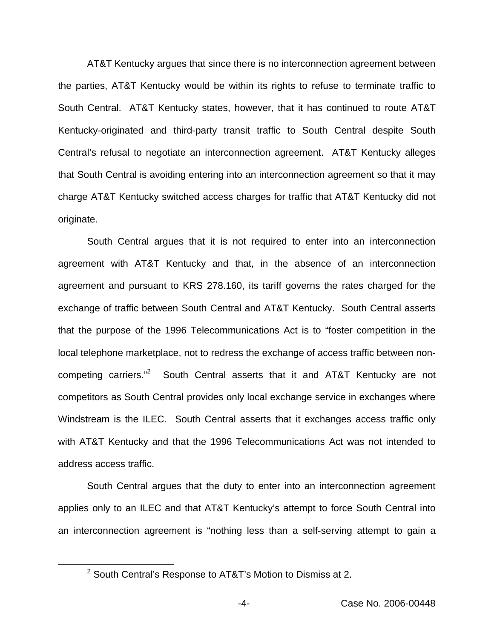AT&T Kentucky argues that since there is no interconnection agreement between the parties, AT&T Kentucky would be within its rights to refuse to terminate traffic to South Central. AT&T Kentucky states, however, that it has continued to route AT&T Kentucky-originated and third-party transit traffic to South Central despite South Central's refusal to negotiate an interconnection agreement. AT&T Kentucky alleges that South Central is avoiding entering into an interconnection agreement so that it may charge AT&T Kentucky switched access charges for traffic that AT&T Kentucky did not originate.

South Central argues that it is not required to enter into an interconnection agreement with AT&T Kentucky and that, in the absence of an interconnection agreement and pursuant to KRS 278.160, its tariff governs the rates charged for the exchange of traffic between South Central and AT&T Kentucky. South Central asserts that the purpose of the 1996 Telecommunications Act is to "foster competition in the local telephone marketplace, not to redress the exchange of access traffic between noncompeting carriers."<sup>2</sup> South Central asserts that it and AT&T Kentucky are not competitors as South Central provides only local exchange service in exchanges where Windstream is the ILEC. South Central asserts that it exchanges access traffic only with AT&T Kentucky and that the 1996 Telecommunications Act was not intended to address access traffic.

South Central argues that the duty to enter into an interconnection agreement applies only to an ILEC and that AT&T Kentucky's attempt to force South Central into an interconnection agreement is "nothing less than a self-serving attempt to gain a

<sup>&</sup>lt;sup>2</sup> South Central's Response to AT&T's Motion to Dismiss at 2.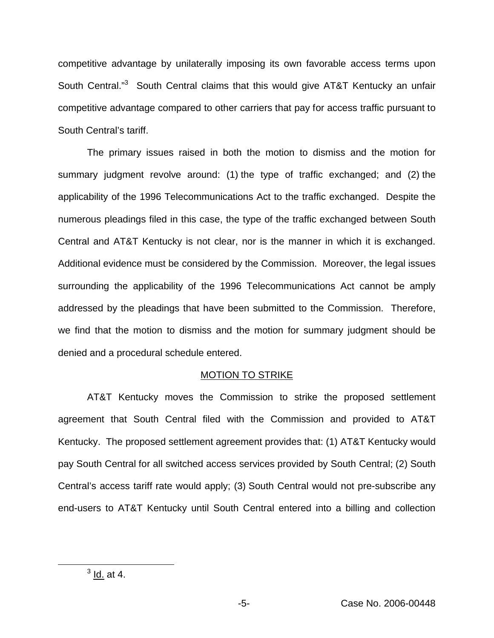competitive advantage by unilaterally imposing its own favorable access terms upon South Central."<sup>3</sup> South Central claims that this would give AT&T Kentucky an unfair competitive advantage compared to other carriers that pay for access traffic pursuant to South Central's tariff.

The primary issues raised in both the motion to dismiss and the motion for summary judgment revolve around: (1) the type of traffic exchanged; and (2) the applicability of the 1996 Telecommunications Act to the traffic exchanged. Despite the numerous pleadings filed in this case, the type of the traffic exchanged between South Central and AT&T Kentucky is not clear, nor is the manner in which it is exchanged. Additional evidence must be considered by the Commission. Moreover, the legal issues surrounding the applicability of the 1996 Telecommunications Act cannot be amply addressed by the pleadings that have been submitted to the Commission. Therefore, we find that the motion to dismiss and the motion for summary judgment should be denied and a procedural schedule entered.

### MOTION TO STRIKE

AT&T Kentucky moves the Commission to strike the proposed settlement agreement that South Central filed with the Commission and provided to AT&T Kentucky. The proposed settlement agreement provides that: (1) AT&T Kentucky would pay South Central for all switched access services provided by South Central; (2) South Central's access tariff rate would apply; (3) South Central would not pre-subscribe any end-users to AT&T Kentucky until South Central entered into a billing and collection

 $3$  ld. at 4.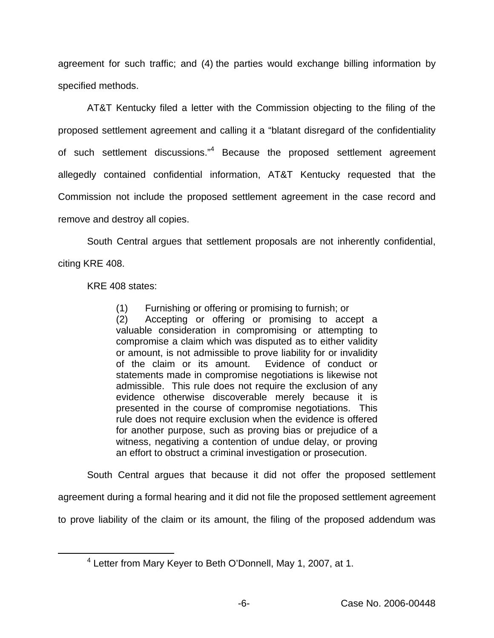agreement for such traffic; and (4) the parties would exchange billing information by specified methods.

AT&T Kentucky filed a letter with the Commission objecting to the filing of the proposed settlement agreement and calling it a "blatant disregard of the confidentiality of such settlement discussions."<sup>4</sup> Because the proposed settlement agreement allegedly contained confidential information, AT&T Kentucky requested that the Commission not include the proposed settlement agreement in the case record and remove and destroy all copies.

South Central argues that settlement proposals are not inherently confidential,

citing KRE 408.

KRE 408 states:

(1) Furnishing or offering or promising to furnish; or

(2) Accepting or offering or promising to accept a valuable consideration in compromising or attempting to compromise a claim which was disputed as to either validity or amount, is not admissible to prove liability for or invalidity of the claim or its amount. Evidence of conduct or statements made in compromise negotiations is likewise not admissible. This rule does not require the exclusion of any evidence otherwise discoverable merely because it is presented in the course of compromise negotiations. This rule does not require exclusion when the evidence is offered for another purpose, such as proving bias or prejudice of a witness, negativing a contention of undue delay, or proving an effort to obstruct a criminal investigation or prosecution.

South Central argues that because it did not offer the proposed settlement

agreement during a formal hearing and it did not file the proposed settlement agreement

to prove liability of the claim or its amount, the filing of the proposed addendum was

<sup>4</sup> Letter from Mary Keyer to Beth O'Donnell, May 1, 2007, at 1.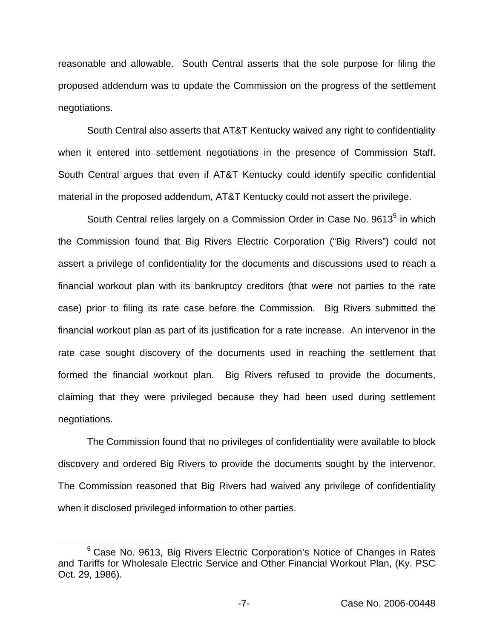reasonable and allowable. South Central asserts that the sole purpose for filing the proposed addendum was to update the Commission on the progress of the settlement negotiations.

South Central also asserts that AT&T Kentucky waived any right to confidentiality when it entered into settlement negotiations in the presence of Commission Staff. South Central argues that even if AT&T Kentucky could identify specific confidential material in the proposed addendum, AT&T Kentucky could not assert the privilege.

South Central relies largely on a Commission Order in Case No. 9613<sup>5</sup> in which the Commission found that Big Rivers Electric Corporation ("Big Rivers") could not assert a privilege of confidentiality for the documents and discussions used to reach a financial workout plan with its bankruptcy creditors (that were not parties to the rate case) prior to filing its rate case before the Commission. Big Rivers submitted the financial workout plan as part of its justification for a rate increase. An intervenor in the rate case sought discovery of the documents used in reaching the settlement that formed the financial workout plan. Big Rivers refused to provide the documents, claiming that they were privileged because they had been used during settlement negotiations.

The Commission found that no privileges of confidentiality were available to block discovery and ordered Big Rivers to provide the documents sought by the intervenor. The Commission reasoned that Big Rivers had waived any privilege of confidentiality when it disclosed privileged information to other parties.

<sup>5</sup> Case No. 9613, Big Rivers Electric Corporation's Notice of Changes in Rates and Tariffs for Wholesale Electric Service and Other Financial Workout Plan, (Ky. PSC Oct. 29, 1986).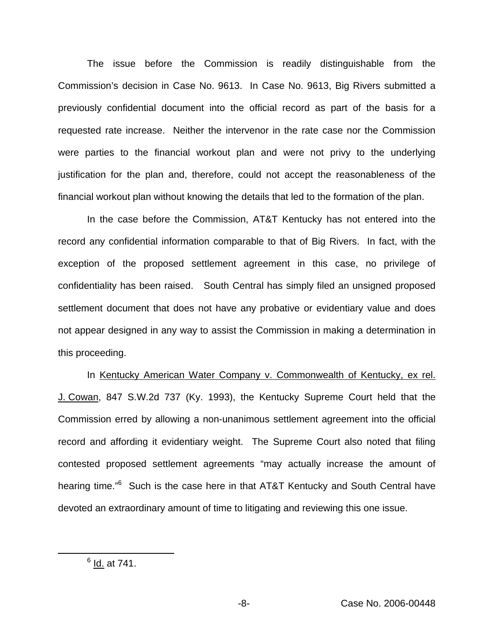The issue before the Commission is readily distinguishable from the Commission's decision in Case No. 9613. In Case No. 9613, Big Rivers submitted a previously confidential document into the official record as part of the basis for a requested rate increase. Neither the intervenor in the rate case nor the Commission were parties to the financial workout plan and were not privy to the underlying justification for the plan and, therefore, could not accept the reasonableness of the financial workout plan without knowing the details that led to the formation of the plan.

In the case before the Commission, AT&T Kentucky has not entered into the record any confidential information comparable to that of Big Rivers. In fact, with the exception of the proposed settlement agreement in this case, no privilege of confidentiality has been raised. South Central has simply filed an unsigned proposed settlement document that does not have any probative or evidentiary value and does not appear designed in any way to assist the Commission in making a determination in this proceeding.

In Kentucky American Water Company v. Commonwealth of Kentucky, ex rel. J. Cowan, 847 S.W.2d 737 (Ky. 1993), the Kentucky Supreme Court held that the Commission erred by allowing a non-unanimous settlement agreement into the official record and affording it evidentiary weight. The Supreme Court also noted that filing contested proposed settlement agreements "may actually increase the amount of hearing time."<sup>6</sup> Such is the case here in that AT&T Kentucky and South Central have devoted an extraordinary amount of time to litigating and reviewing this one issue.

 $<sup>6</sup>$  Id. at 741.</sup>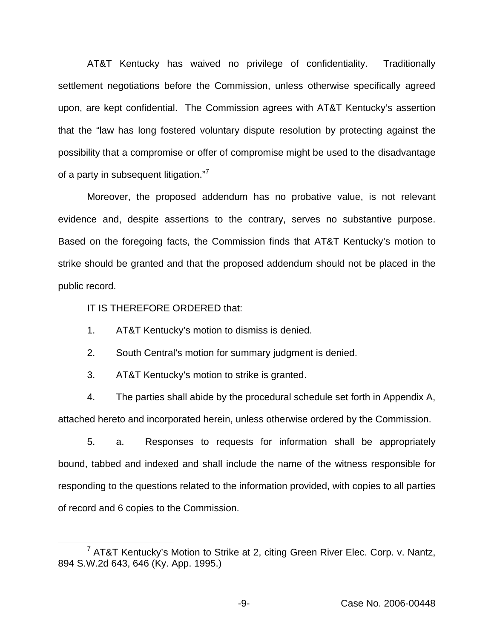AT&T Kentucky has waived no privilege of confidentiality. Traditionally settlement negotiations before the Commission, unless otherwise specifically agreed upon, are kept confidential. The Commission agrees with AT&T Kentucky's assertion that the "law has long fostered voluntary dispute resolution by protecting against the possibility that a compromise or offer of compromise might be used to the disadvantage of a party in subsequent litigation."<sup>7</sup>

Moreover, the proposed addendum has no probative value, is not relevant evidence and, despite assertions to the contrary, serves no substantive purpose. Based on the foregoing facts, the Commission finds that AT&T Kentucky's motion to strike should be granted and that the proposed addendum should not be placed in the public record.

IT IS THEREFORE ORDERED that:

1. AT&T Kentucky's motion to dismiss is denied.

2. South Central's motion for summary judgment is denied.

3. AT&T Kentucky's motion to strike is granted.

4. The parties shall abide by the procedural schedule set forth in Appendix A, attached hereto and incorporated herein, unless otherwise ordered by the Commission.

5. a. Responses to requests for information shall be appropriately bound, tabbed and indexed and shall include the name of the witness responsible for responding to the questions related to the information provided, with copies to all parties of record and 6 copies to the Commission.

<sup>&</sup>lt;sup>7</sup> AT&T Kentucky's Motion to Strike at 2, citing Green River Elec. Corp. v. Nantz, 894 S.W.2d 643, 646 (Ky. App. 1995.)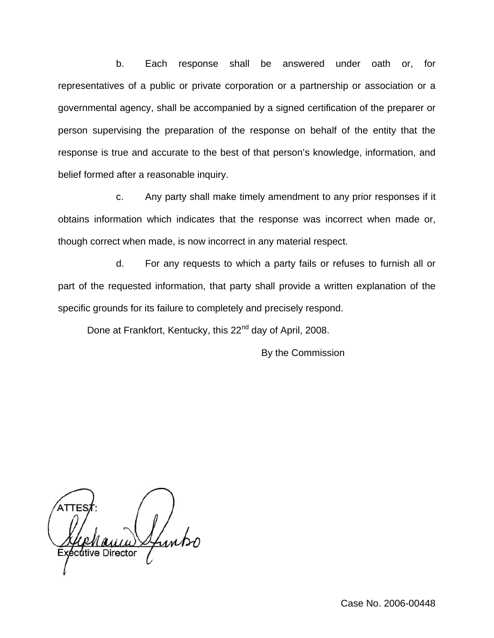b. Each response shall be answered under oath or, for representatives of a public or private corporation or a partnership or association or a governmental agency, shall be accompanied by a signed certification of the preparer or person supervising the preparation of the response on behalf of the entity that the response is true and accurate to the best of that person's knowledge, information, and belief formed after a reasonable inquiry.

c. Any party shall make timely amendment to any prior responses if it obtains information which indicates that the response was incorrect when made or, though correct when made, is now incorrect in any material respect.

d. For any requests to which a party fails or refuses to furnish all or part of the requested information, that party shall provide a written explanation of the specific grounds for its failure to completely and precisely respond.

Done at Frankfort, Kentucky, this 22<sup>nd</sup> day of April, 2008.

By the Commission

dtive Director